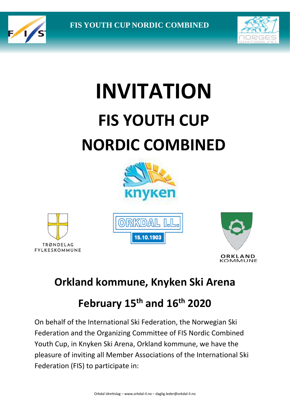



# **INVITATION FIS YOUTH CUP NORDIC COMBINED**









## **Orkland kommune, Knyken Ski Arena**

## **February 15th and 16th 2020**

On behalf of the International Ski Federation, the Norwegian Ski Federation and the Organizing Committee of FIS Nordic Combined Youth Cup, in Knyken Ski Arena, Orkland kommune, we have the pleasure of inviting all Member Associations of the International Ski Federation (FIS) to participate in: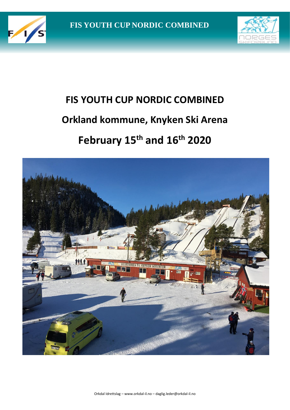



## **FIS YOUTH CUP NORDIC COMBINED Orkland kommune, Knyken Ski Arena February 15th and 16th 2020**

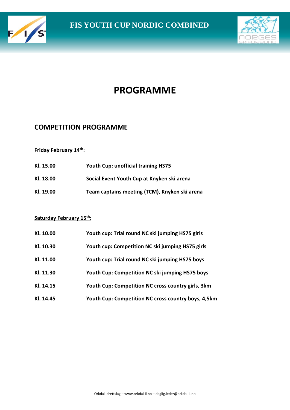



## **PROGRAMME**

#### **COMPETITION PROGRAMME**

#### **Friday February 14th:**

| Kl. 15.00 | <b>Youth Cup: unofficial training HS75</b>    |
|-----------|-----------------------------------------------|
| Kl. 18.00 | Social Event Youth Cup at Knyken ski arena    |
| Kl. 19.00 | Team captains meeting (TCM), Knyken ski arena |

#### **Saturday February 15th:**

| Kl. 10.00 | Youth cup: Trial round NC ski jumping HS75 girls    |
|-----------|-----------------------------------------------------|
| Kl. 10.30 | Youth cup: Competition NC ski jumping HS75 girls    |
| Kl. 11.00 | Youth cup: Trial round NC ski jumping HS75 boys     |
| Kl. 11.30 | Youth Cup: Competition NC ski jumping HS75 boys     |
| Kl. 14.15 | Youth Cup: Competition NC cross country girls, 3km  |
| Kl. 14.45 | Youth Cup: Competition NC cross country boys, 4,5km |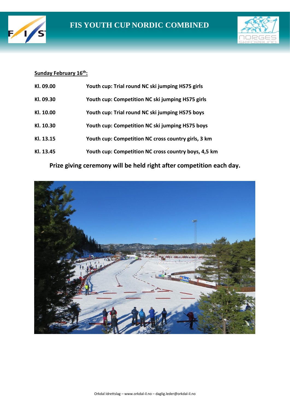



#### **Sunday February 16th:**

| KI. 09.00 | Youth cup: Trial round NC ski jumping HS75 girls     |
|-----------|------------------------------------------------------|
| KI. 09.30 | Youth cup: Competition NC ski jumping HS75 girls     |
| Kl. 10.00 | Youth cup: Trial round NC ski jumping HS75 boys      |
| Kl. 10.30 | Youth cup: Competition NC ski jumping HS75 boys      |
| Kl. 13.15 | Youth cup: Competition NC cross country girls, 3 km  |
| Kl. 13.45 | Youth cup: Competition NC cross country boys, 4,5 km |

**Prize giving ceremony will be held right after competition each day.**

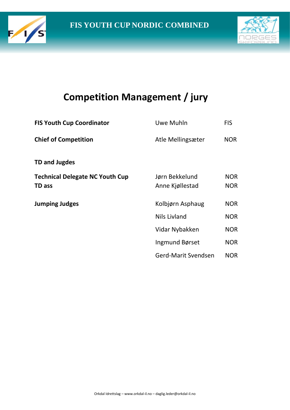



## **Competition Management / jury**

| <b>FIS Youth Cup Coordinator</b>                 | Uwe Muhln                         | <b>FIS</b>               |
|--------------------------------------------------|-----------------------------------|--------------------------|
| <b>Chief of Competition</b>                      | Atle Mellingsæter                 | <b>NOR</b>               |
| TD and Jugdes                                    |                                   |                          |
| <b>Technical Delegate NC Youth Cup</b><br>TD ass | Jørn Bekkelund<br>Anne Kjøllestad | <b>NOR</b><br><b>NOR</b> |
| <b>Jumping Judges</b>                            | Kolbjørn Asphaug                  | <b>NOR</b>               |
|                                                  | Nils Livland                      | <b>NOR</b>               |
|                                                  | Vidar Nybakken                    | <b>NOR</b>               |
|                                                  | Ingmund Børset                    | <b>NOR</b>               |
|                                                  | Gerd-Marit Svendsen               | <b>NOR</b>               |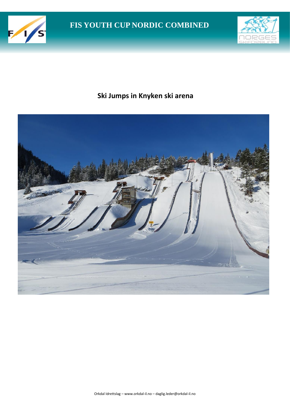



### **Ski Jumps in Knyken ski arena**

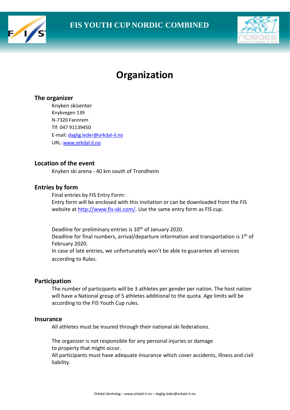



## **Organization**

#### **The organizer**

Knyken skisenter Knykvegen 139 N-7320 Fannrem Tlf. 047 91139450 E-mail[: daglig.leder@orkdal-il.no](mailto:daglig.leder@orkdal-il.no) URL[: www.orkdal-il.no](http://www.orkdal-il.no/)

#### **Location of the event**

Knyken ski arena - 40 km south of Trondheim

#### **Entries by form**

Final entries by FIS Entry Form: Entry form will be enclosed with this invitation or can be downloaded from the FIS website at [http://www.fis-ski.com/.](http://www.fis-ski.com/) Use the same entry form as FIS cup.

Deadline for preliminary entries is 10<sup>th</sup> of January 2020. Deadline for final numbers, arrival/departure information and transportation is  $1<sup>th</sup>$  of February 2020. In case of late entries, we unfortunately won't be able to guarantee all services according to Rules.

#### **Participation**

The number of participants will be 3 athletes per gender per nation. The host nation will have a National group of 5 athletes additional to the quota. Age limits will be according to the FIS Youth Cup rules.

#### **Insurance**

All athletes must be insured through their national ski federations.

The organizer is not responsible for any personal injuries or damage to property that might occur.

All participants must have adequate insurance which cover accidents, illness and civil liability.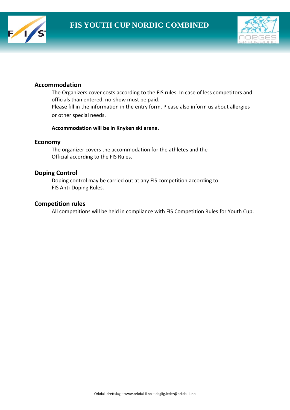



#### **Accommodation**

The Organizers cover costs according to the FIS rules. In case of less competitors and officials than entered, no-show must be paid. Please fill in the information in the entry form. Please also inform us about allergies or other special needs.

#### **Accommodation will be in Knyken ski arena.**

#### **Economy**

The organizer covers the accommodation for the athletes and the Official according to the FIS Rules.

#### **Doping Control**

Doping control may be carried out at any FIS competition according to FIS Anti-Doping Rules.

#### **Competition rules**

All competitions will be held in compliance with FIS Competition Rules for Youth Cup.